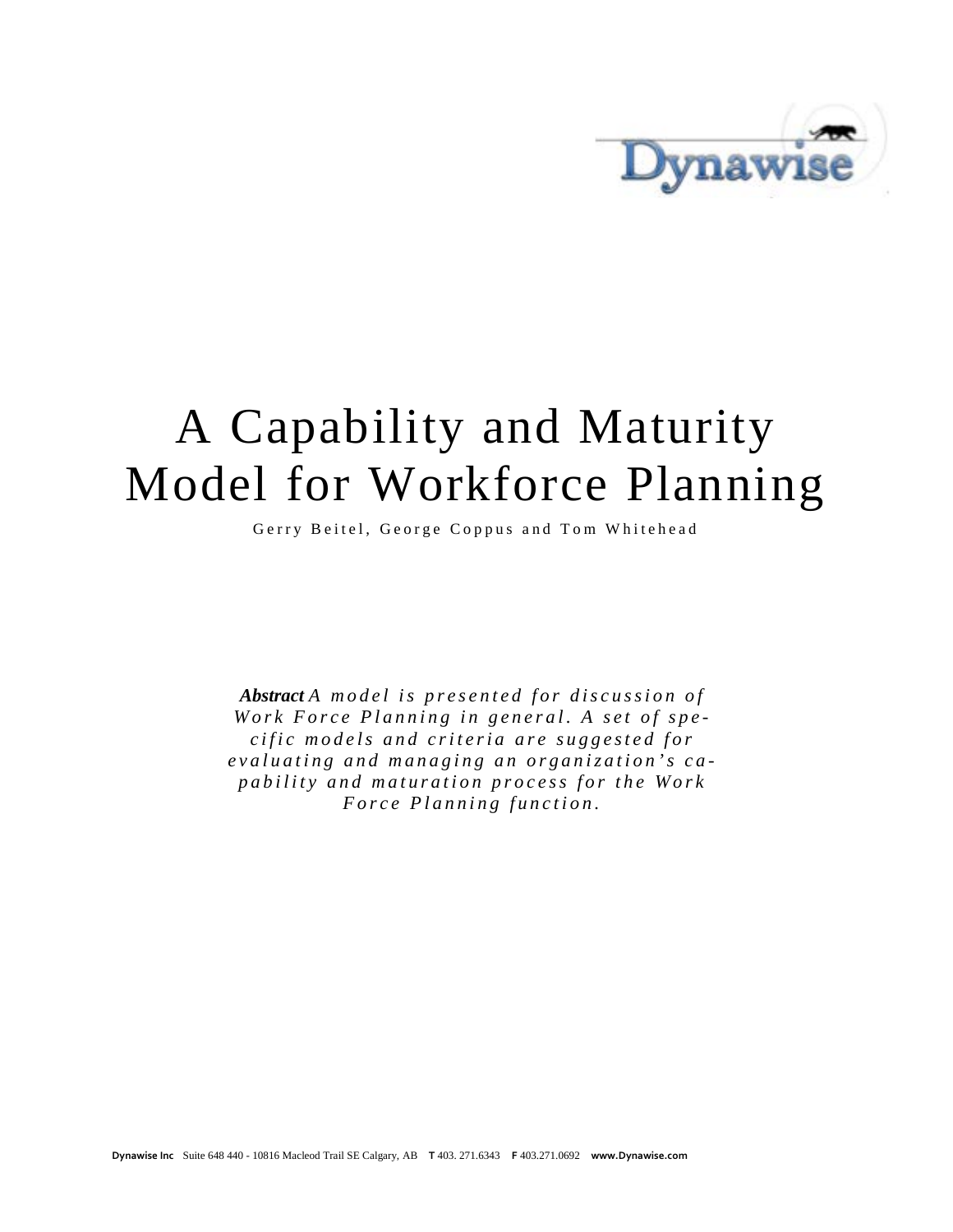

# A Capability and Maturity Model for Workforce Planning

Gerry Beitel, George Coppus and Tom Whitehead

*Abstract A model is presented for discussion of Work Force Planning in general. A set of specific models and criteria are suggested for evaluati ng and managing an organization ' s c a pability and maturation process for the Work Force Planning function.*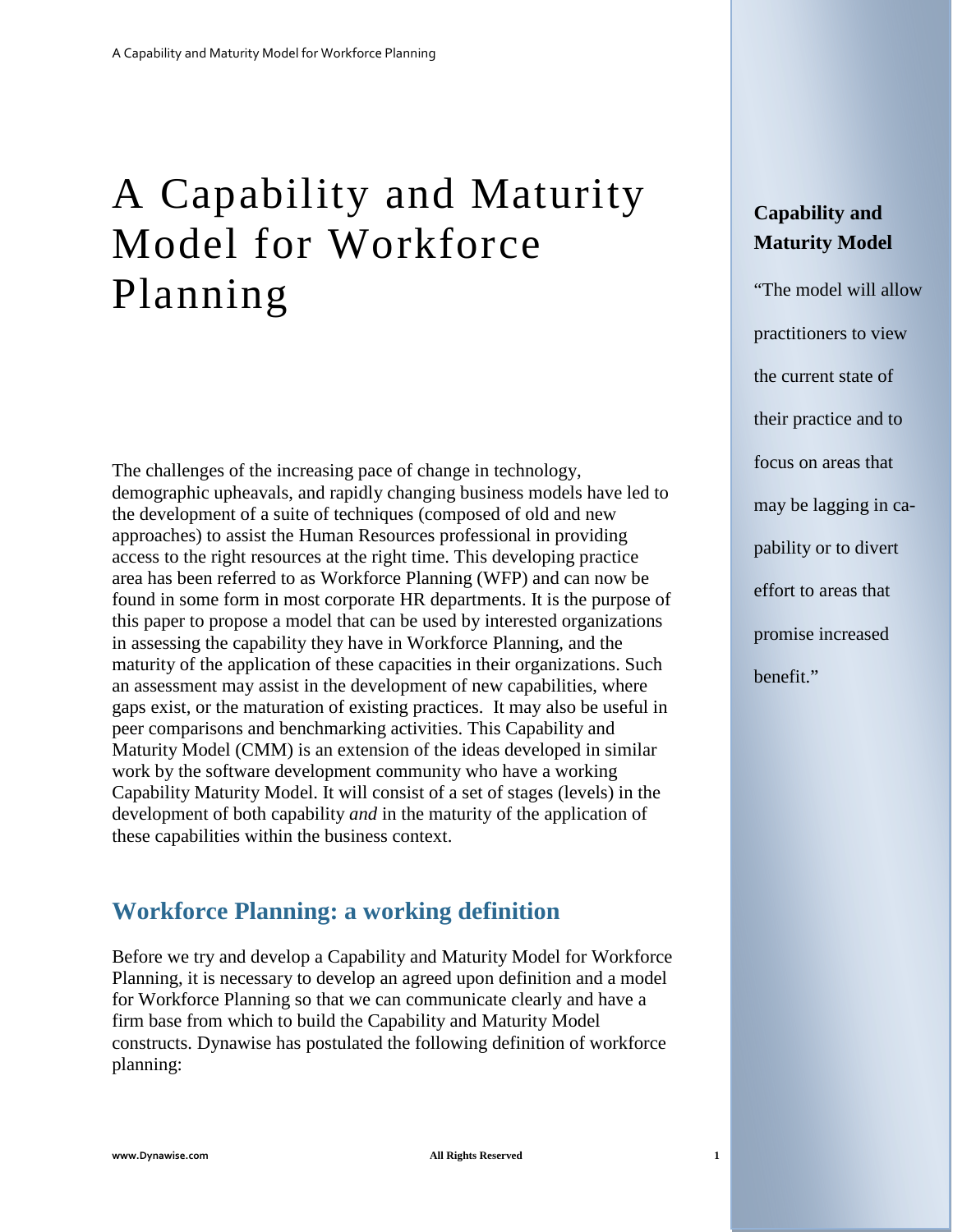## A Capability and Maturity Model for Workforce Planning

The challenges of the increasing pace of change in technology, demographic upheavals, and rapidly changing business models have led to the development of a suite of techniques (composed of old and new approaches) to assist the Human Resources professional in providing access to the right resources at the right time. This developing practice area has been referred to as Workforce Planning (WFP) and can now be found in some form in most corporate HR departments. It is the purpose of this paper to propose a model that can be used by interested organizations in assessing the capability they have in Workforce Planning, and the maturity of the application of these capacities in their organizations. Such an assessment may assist in the development of new capabilities, where gaps exist, or the maturation of existing practices. It may also be useful in peer comparisons and benchmarking activities. This Capability and Maturity Model (CMM) is an extension of the ideas developed in similar work by the software development community who have a working Capability Maturity Model. It will consist of a set of stages (levels) in the development of both capability *and* in the maturity of the application of these capabilities within the business context.

## **Workforce Planning: a working definition**

Before we try and develop a Capability and Maturity Model for Workforce Planning, it is necessary to develop an agreed upon definition and a model for Workforce Planning so that we can communicate clearly and have a firm base from which to build the Capability and Maturity Model constructs. Dynawise has postulated the following definition of workforce planning:

## **Capability and Maturity Model**

"The model will allow practitioners to view the current state of their practice and to focus on areas that may be lagging in capability or to divert effort to areas that promise increased benefit."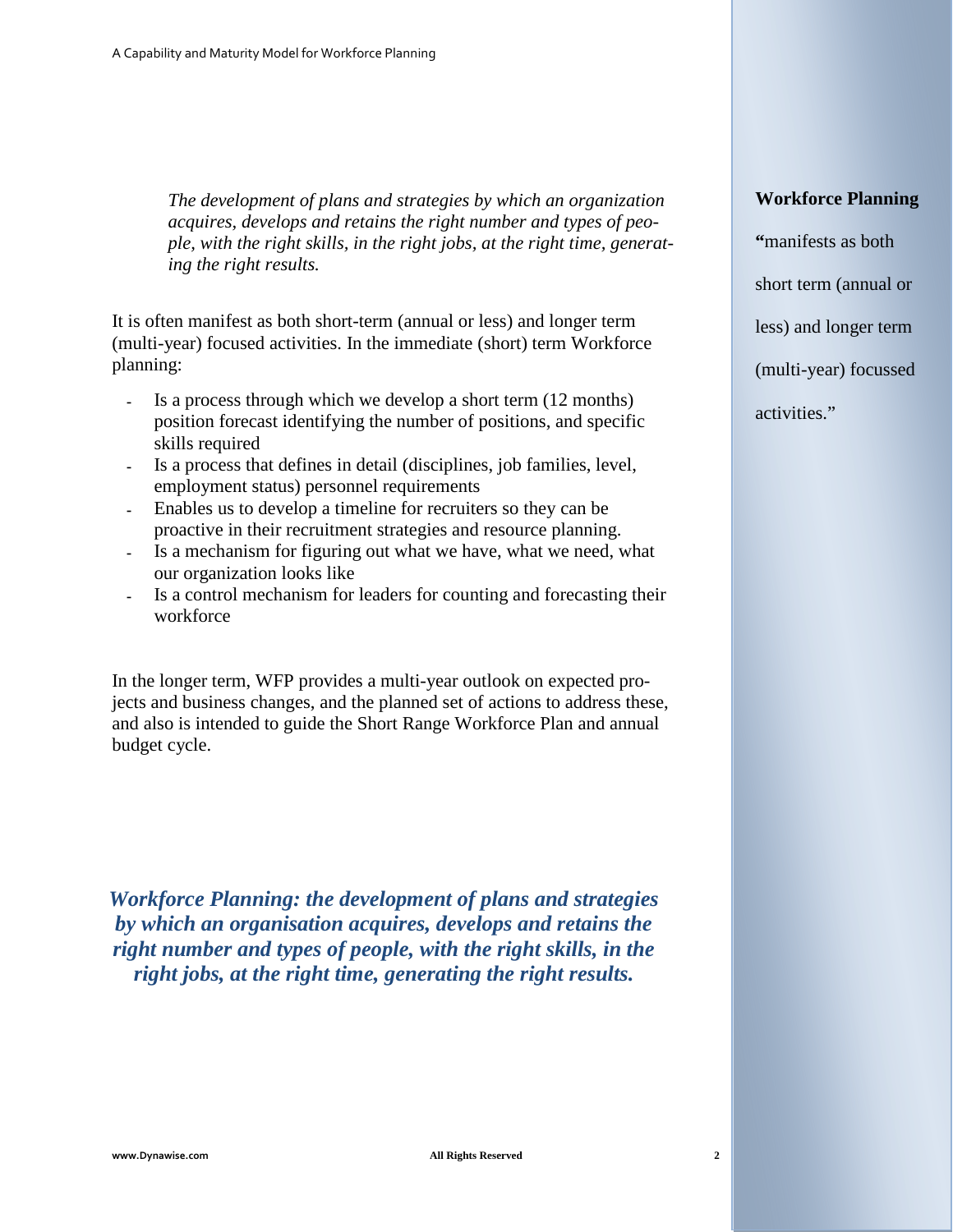*The development of plans and strategies by which an organization acquires, develops and retains the right number and types of people, with the right skills, in the right jobs, at the right time, generating the right results.*

It is often manifest as both short-term (annual or less) and longer term (multi-year) focused activities. In the immediate (short) term Workforce planning:

- Is a process through which we develop a short term  $(12 \text{ months})$ position forecast identifying the number of positions, and specific skills required
- Is a process that defines in detail (disciplines, job families, level, employment status) personnel requirements
- Enables us to develop a timeline for recruiters so they can be proactive in their recruitment strategies and resource planning.
- Is a mechanism for figuring out what we have, what we need, what our organization looks like
- Is a control mechanism for leaders for counting and forecasting their workforce

In the longer term, WFP provides a multi-year outlook on expected projects and business changes, and the planned set of actions to address these, and also is intended to guide the Short Range Workforce Plan and annual budget cycle.

*Workforce Planning: the development of plans and strategies by which an organisation acquires, develops and retains the right number and types of people, with the right skills, in the right jobs, at the right time, generating the right results.*

#### **Workforce Planning**

**"**manifests as both short term (annual or less) and longer term (multi-year) focussed activities."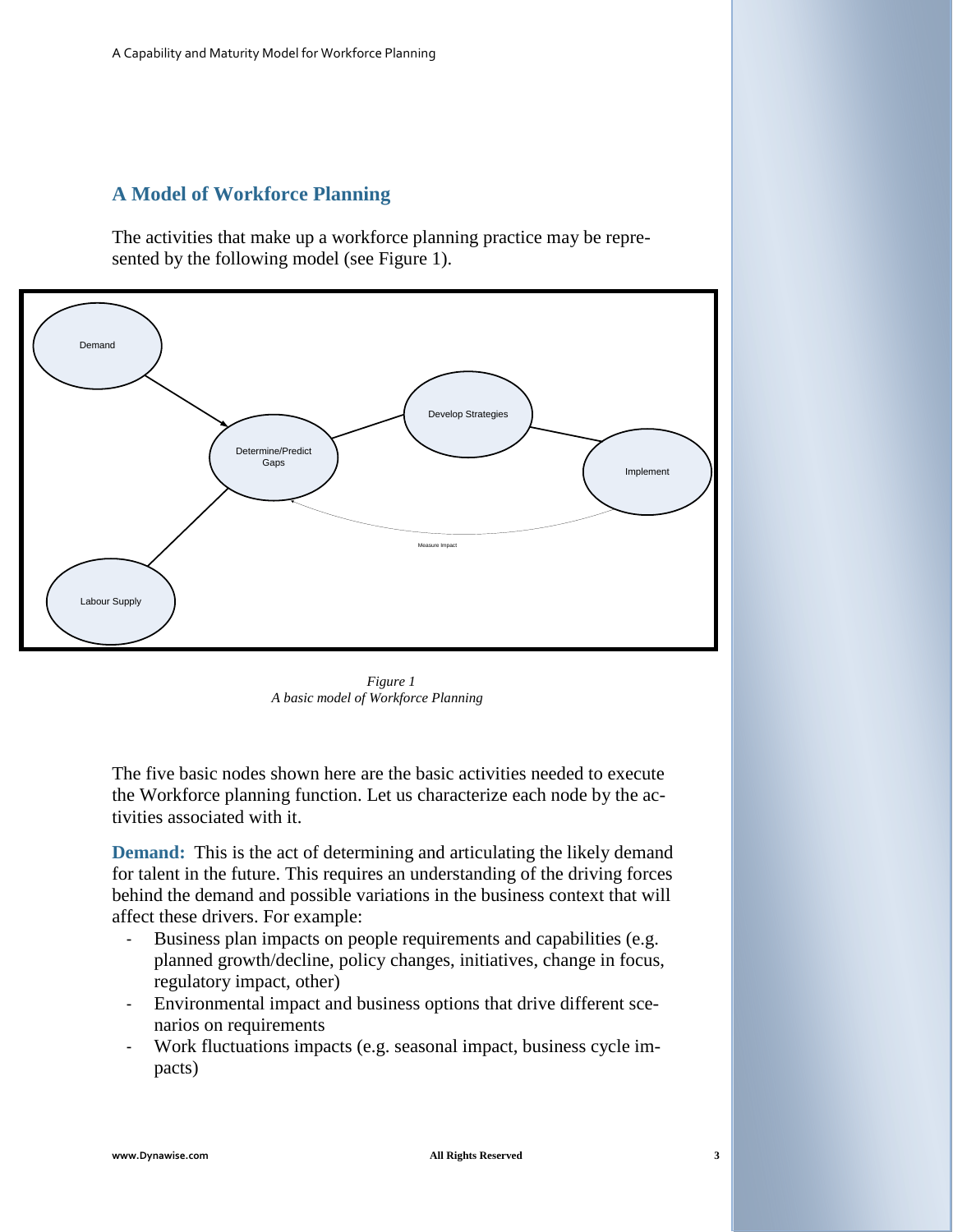#### **A Model of Workforce Planning**

The activities that make up a workforce planning practice may be represented by the following model (see Figure 1).



*Figure 1 A basic model of Workforce Planning*

The five basic nodes shown here are the basic activities needed to execute the Workforce planning function. Let us characterize each node by the activities associated with it.

**Demand:** This is the act of determining and articulating the likely demand for talent in the future. This requires an understanding of the driving forces behind the demand and possible variations in the business context that will affect these drivers. For example:

- Business plan impacts on people requirements and capabilities (e.g. planned growth/decline, policy changes, initiatives, change in focus, regulatory impact, other)
- Environmental impact and business options that drive different scenarios on requirements
- Work fluctuations impacts (e.g. seasonal impact, business cycle impacts)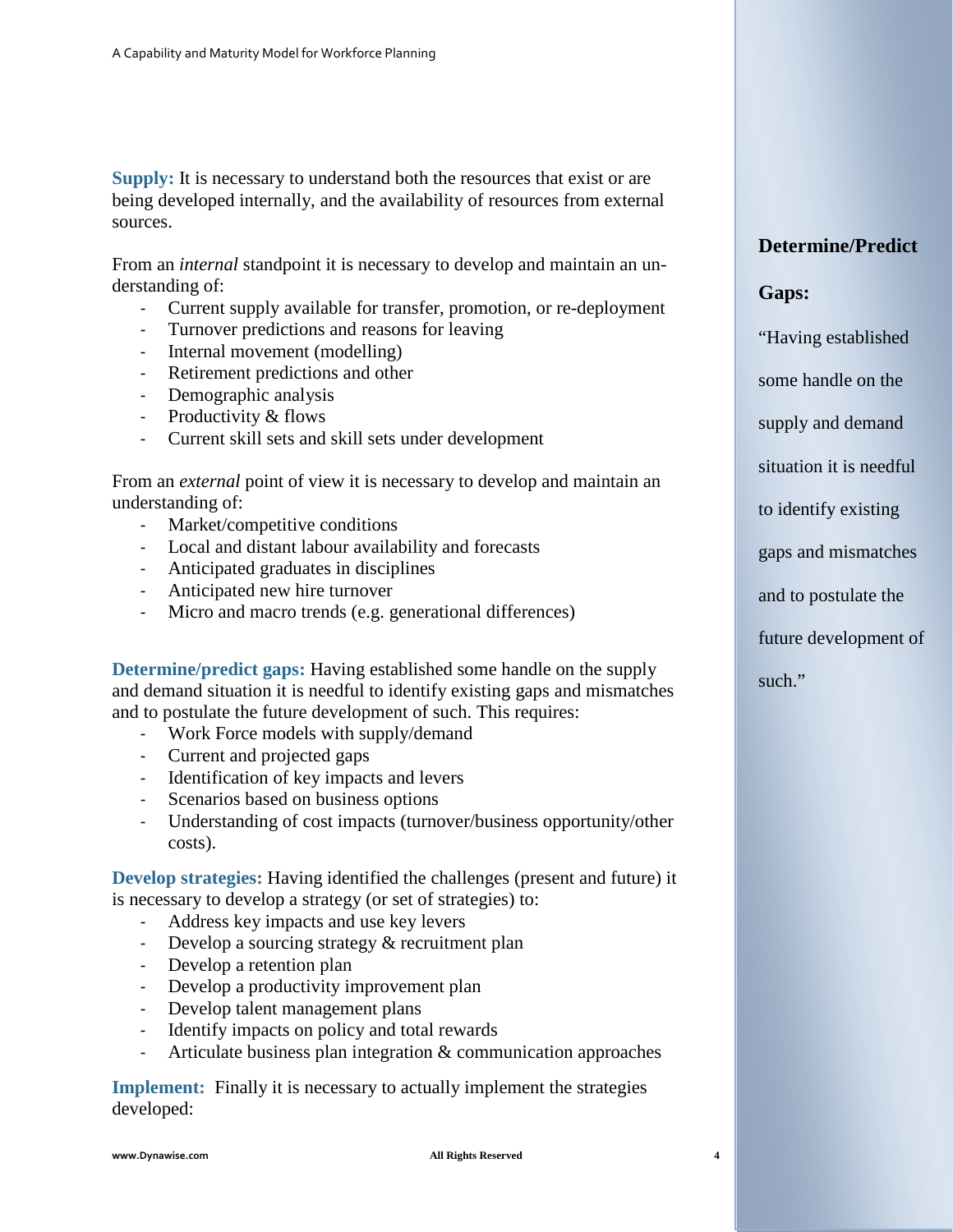**Supply:** It is necessary to understand both the resources that exist or are being developed internally, and the availability of resources from external sources.

From an *internal* standpoint it is necessary to develop and maintain an understanding of:

- Current supply available for transfer, promotion, or re-deployment
- Turnover predictions and reasons for leaving
- Internal movement (modelling)
- Retirement predictions and other
- Demographic analysis
- Productivity & flows
- Current skill sets and skill sets under development

From an *external* point of view it is necessary to develop and maintain an understanding of:

- Market/competitive conditions
- Local and distant labour availability and forecasts
- Anticipated graduates in disciplines
- Anticipated new hire turnover
- Micro and macro trends (e.g. generational differences)

**Determine/predict gaps:** Having established some handle on the supply and demand situation it is needful to identify existing gaps and mismatches and to postulate the future development of such. This requires:

- Work Force models with supply/demand
- Current and projected gaps
- Identification of key impacts and levers
- Scenarios based on business options
- Understanding of cost impacts (turnover/business opportunity/other costs).

**Develop strategies:** Having identified the challenges (present and future) it is necessary to develop a strategy (or set of strategies) to:

- Address key impacts and use key levers
- Develop a sourcing strategy & recruitment plan
- Develop a retention plan
- Develop a productivity improvement plan
- Develop talent management plans
- Identify impacts on policy and total rewards
- Articulate business plan integration & communication approaches

**Implement:** Finally it is necessary to actually implement the strategies developed:

#### **Determine/Predict**

#### **Gaps:**

"Having established

some handle on the

supply and demand

situation it is needful

to identify existing

gaps and mismatches

and to postulate the

future development of

such."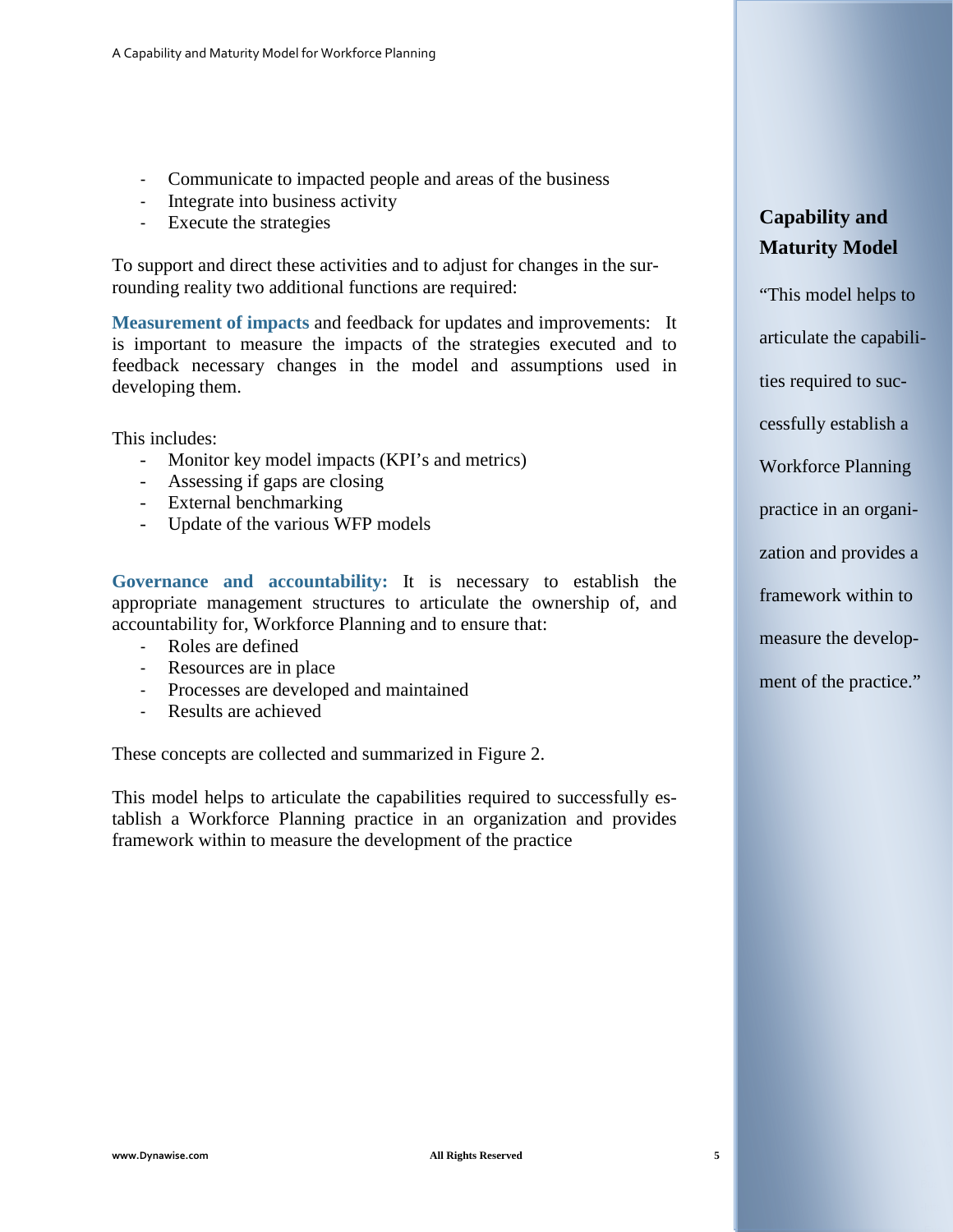- Communicate to impacted people and areas of the business
- Integrate into business activity
- Execute the strategies

To support and direct these activities and to adjust for changes in the surrounding reality two additional functions are required:

**Measurement of impacts** and feedback for updates and improvements: It is important to measure the impacts of the strategies executed and to feedback necessary changes in the model and assumptions used in developing them.

This includes:

- Monitor key model impacts (KPI's and metrics)
- Assessing if gaps are closing
- External benchmarking
- Update of the various WFP models

**Governance and accountability:** It is necessary to establish the appropriate management structures to articulate the ownership of, and accountability for, Workforce Planning and to ensure that:

- Roles are defined
- Resources are in place
- Processes are developed and maintained
- Results are achieved

These concepts are collected and summarized in Figure 2.

This model helps to articulate the capabilities required to successfully establish a Workforce Planning practice in an organization and provides framework within to measure the development of the practice

## **Capability and Maturity Model**

"This model helps to articulate the capabilities required to successfully establish a Workforce Planning practice in an organization and provides a framework within to measure the development of the practice."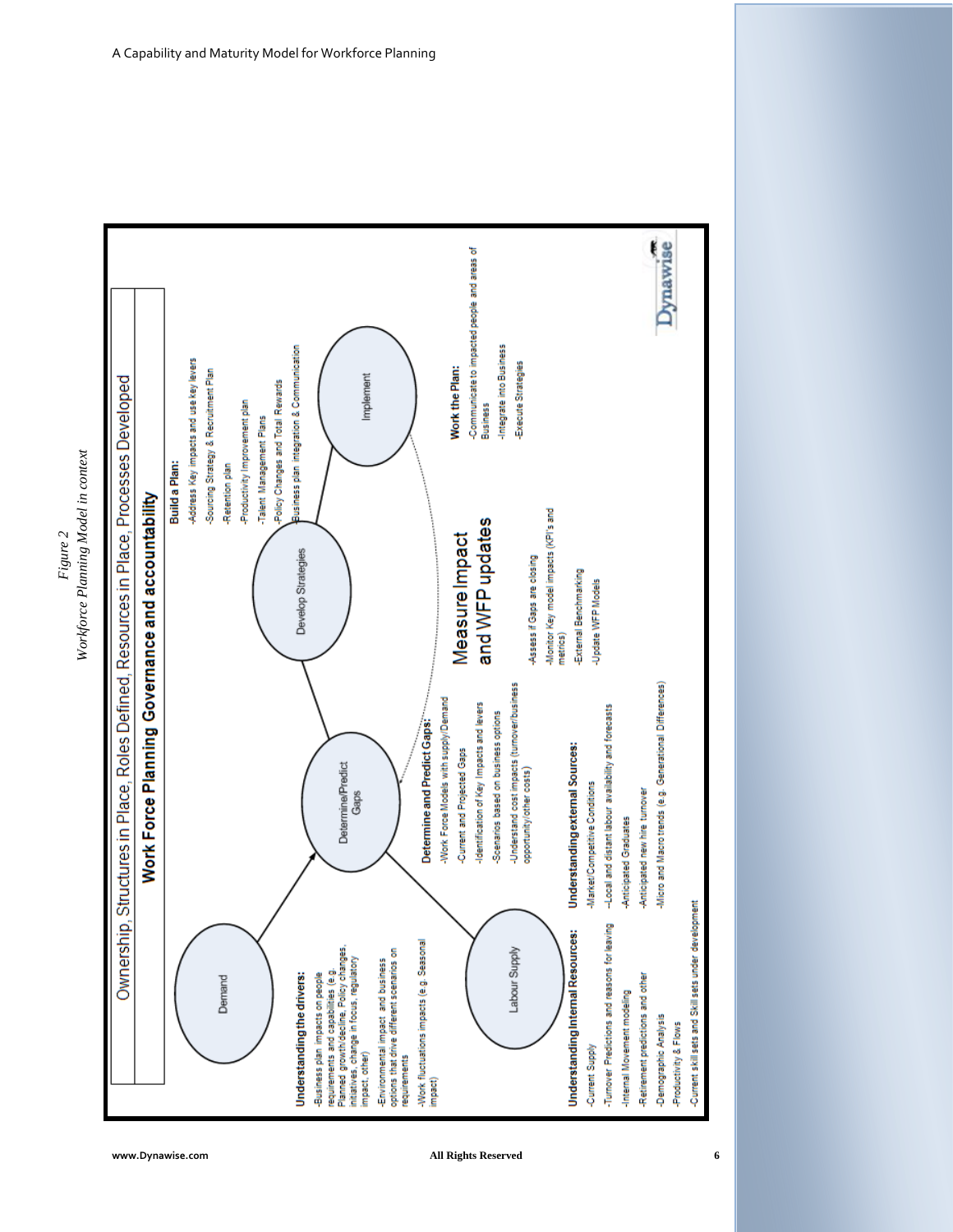



**www.Dynawise.com All Rights Reserved 6**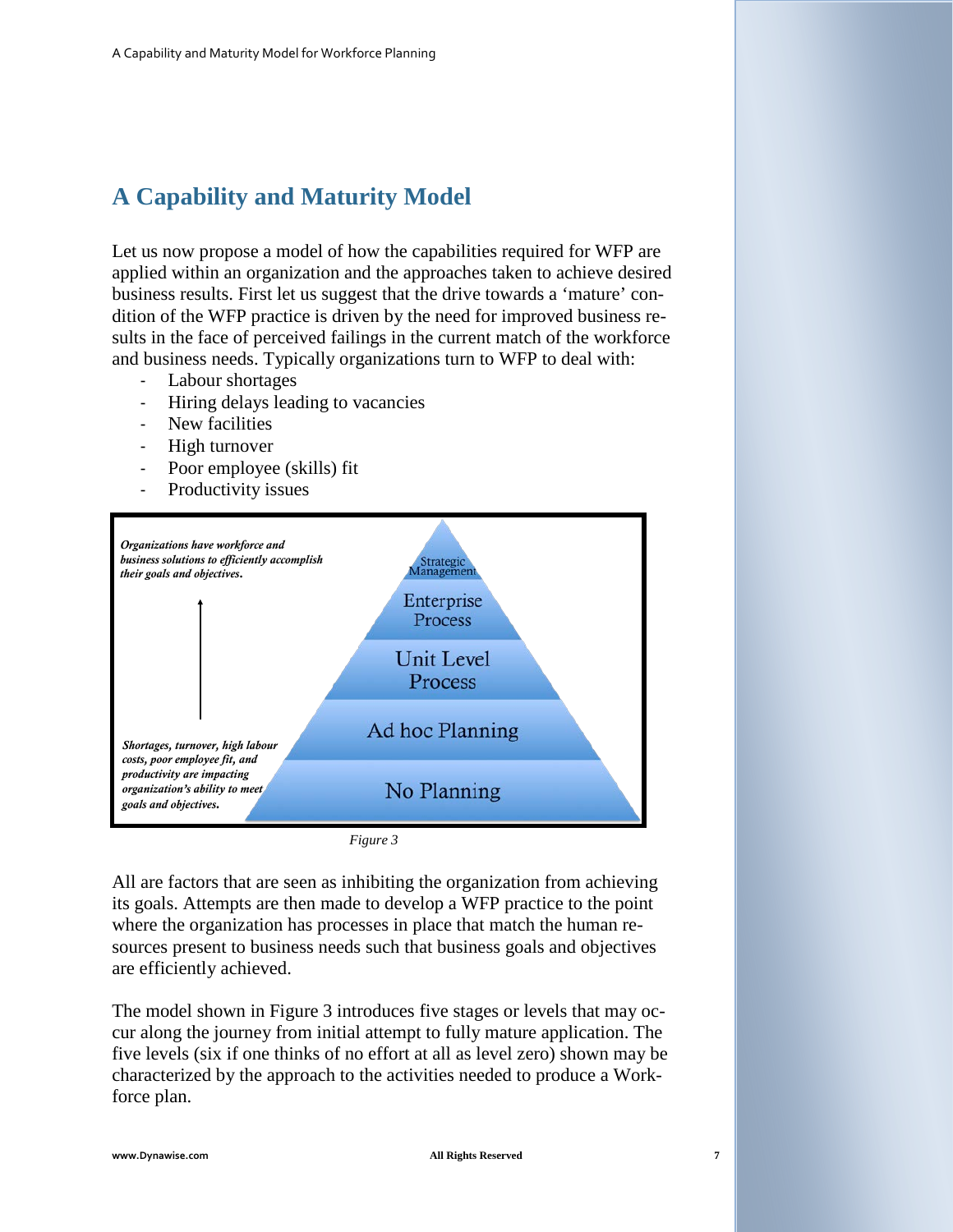## **A Capability and Maturity Model**

Let us now propose a model of how the capabilities required for WFP are applied within an organization and the approaches taken to achieve desired business results. First let us suggest that the drive towards a 'mature' condition of the WFP practice is driven by the need for improved business results in the face of perceived failings in the current match of the workforce and business needs. Typically organizations turn to WFP to deal with:

- Labour shortages
- Hiring delays leading to vacancies
- New facilities
- High turnover
- Poor employee (skills) fit
- Productivity issues



*Figure 3*

All are factors that are seen as inhibiting the organization from achieving its goals. Attempts are then made to develop a WFP practice to the point where the organization has processes in place that match the human resources present to business needs such that business goals and objectives are efficiently achieved.

The model shown in Figure 3 introduces five stages or levels that may occur along the journey from initial attempt to fully mature application. The five levels (six if one thinks of no effort at all as level zero) shown may be characterized by the approach to the activities needed to produce a Workforce plan.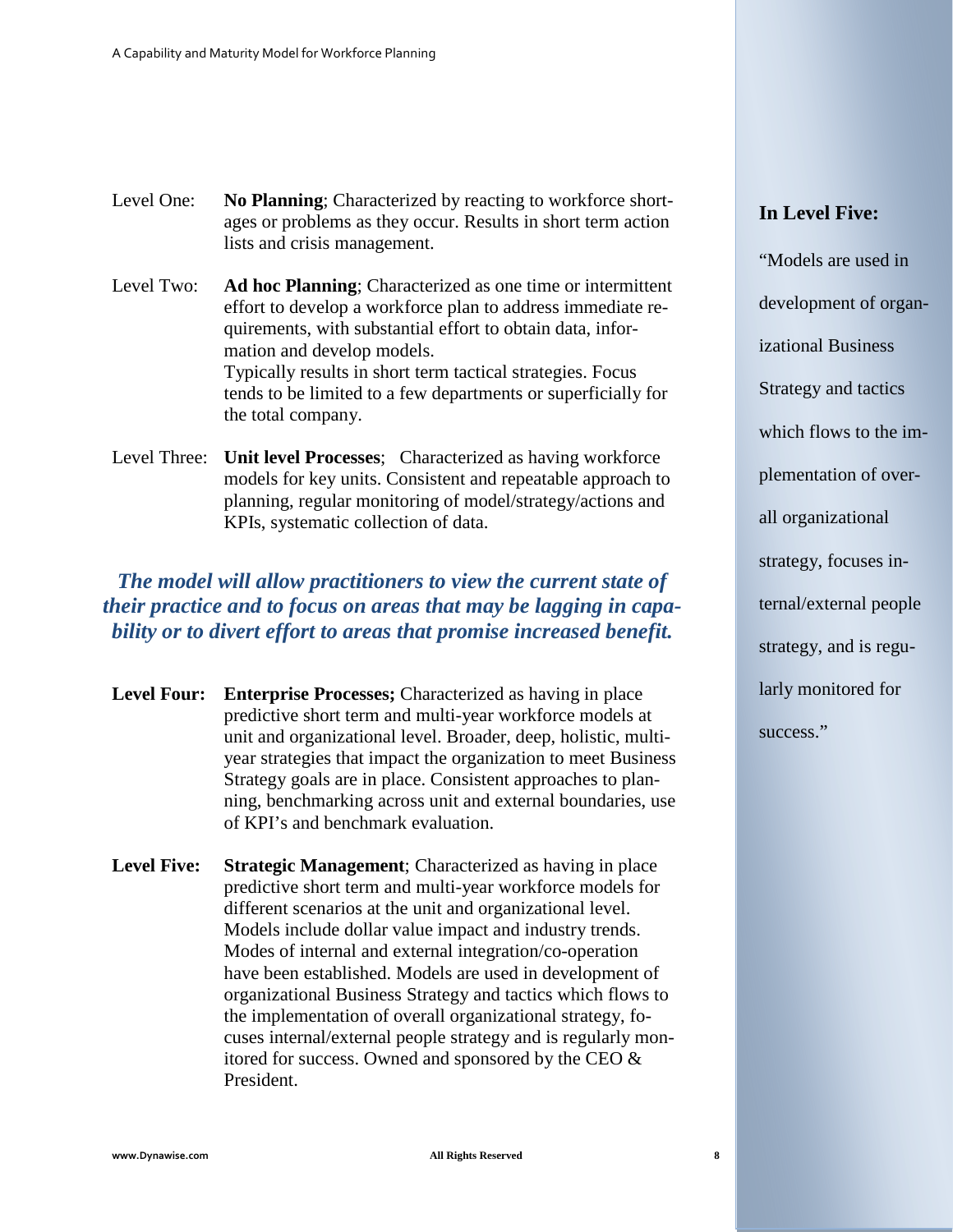Level One: **No Planning**; Characterized by reacting to workforce shortages or problems as they occur. Results in short term action lists and crisis management.

Level Two: **Ad hoc Planning**; Characterized as one time or intermittent effort to develop a workforce plan to address immediate requirements, with substantial effort to obtain data, information and develop models. Typically results in short term tactical strategies. Focus tends to be limited to a few departments or superficially for the total company.

Level Three: **Unit level Processes**; Characterized as having workforce models for key units. Consistent and repeatable approach to planning, regular monitoring of model/strategy/actions and KPIs, systematic collection of data.

## *The model will allow practitioners to view the current state of their practice and to focus on areas that may be lagging in capability or to divert effort to areas that promise increased benefit.*

- **Level Four: Enterprise Processes;** Characterized as having in place predictive short term and multi-year workforce models at unit and organizational level. Broader, deep, holistic, multiyear strategies that impact the organization to meet Business Strategy goals are in place. Consistent approaches to planning, benchmarking across unit and external boundaries, use of KPI's and benchmark evaluation.
- **Level Five: Strategic Management**; Characterized as having in place predictive short term and multi-year workforce models for different scenarios at the unit and organizational level. Models include dollar value impact and industry trends. Modes of internal and external integration/co-operation have been established. Models are used in development of organizational Business Strategy and tactics which flows to the implementation of overall organizational strategy, focuses internal/external people strategy and is regularly monitored for success. Owned and sponsored by the CEO & President.

### **In Level Five:**

"Models are used in development of organizational Business Strategy and tactics which flows to the implementation of overall organizational strategy, focuses internal/external people strategy, and is regularly monitored for success."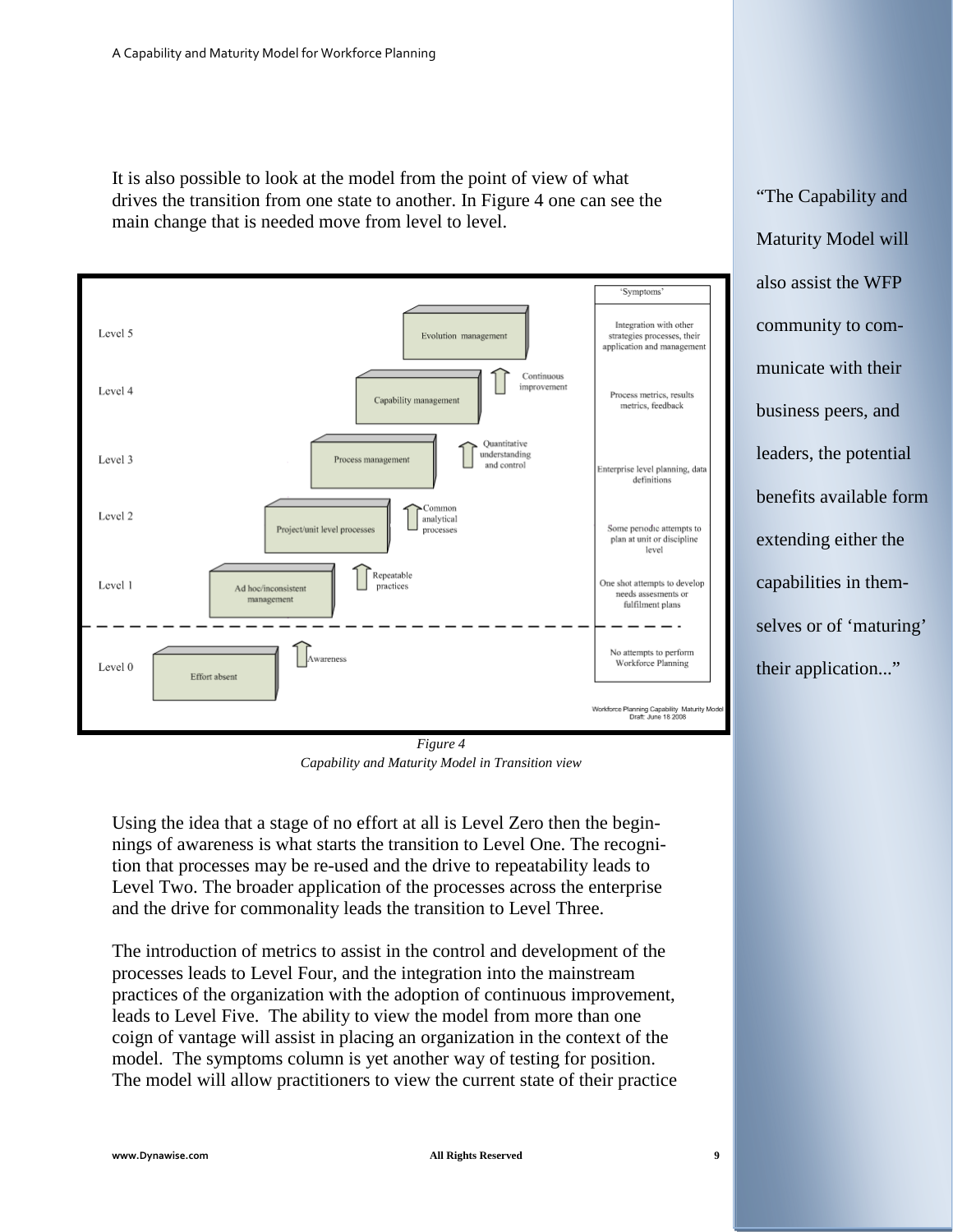It is also possible to look at the model from the point of view of what drives the transition from one state to another. In Figure 4 one can see the main change that is needed move from level to level.



*Figure 4 Capability and Maturity Model in Transition view*

Using the idea that a stage of no effort at all is Level Zero then the beginnings of awareness is what starts the transition to Level One. The recognition that processes may be re-used and the drive to repeatability leads to Level Two. The broader application of the processes across the enterprise and the drive for commonality leads the transition to Level Three.

The introduction of metrics to assist in the control and development of the processes leads to Level Four, and the integration into the mainstream practices of the organization with the adoption of continuous improvement, leads to Level Five. The ability to view the model from more than one coign of vantage will assist in placing an organization in the context of the model. The symptoms column is yet another way of testing for position. The model will allow practitioners to view the current state of their practice "The Capability and Maturity Model will also assist the WFP community to communicate with their business peers, and leaders, the potential benefits available form extending either the capabilities in themselves or of 'maturing' their application..."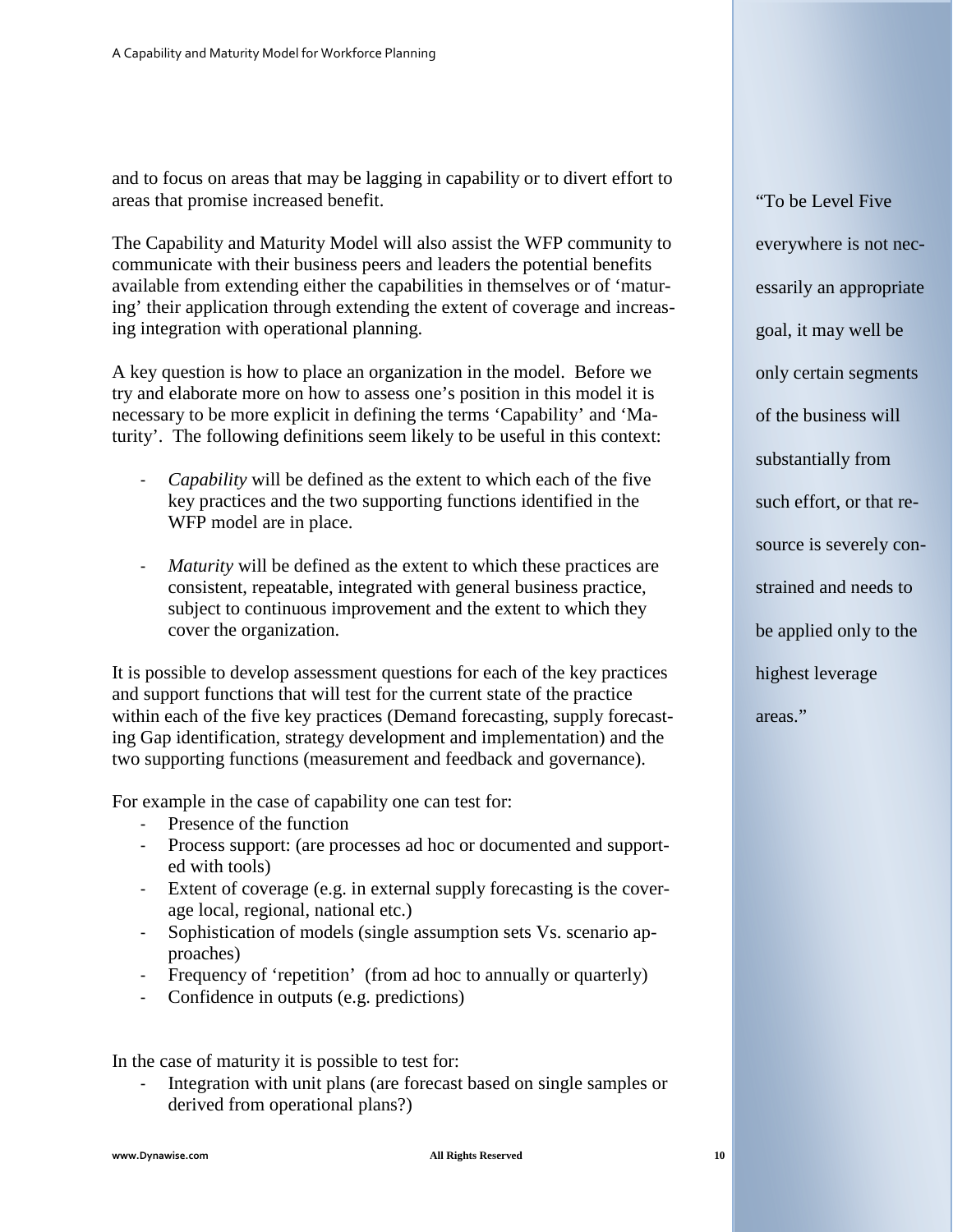and to focus on areas that may be lagging in capability or to divert effort to areas that promise increased benefit.

The Capability and Maturity Model will also assist the WFP community to communicate with their business peers and leaders the potential benefits available from extending either the capabilities in themselves or of 'maturing' their application through extending the extent of coverage and increasing integration with operational planning.

A key question is how to place an organization in the model. Before we try and elaborate more on how to assess one's position in this model it is necessary to be more explicit in defining the terms 'Capability' and 'Maturity'. The following definitions seem likely to be useful in this context:

- *Capability* will be defined as the extent to which each of the five key practices and the two supporting functions identified in the WFP model are in place.
- *Maturity* will be defined as the extent to which these practices are consistent, repeatable, integrated with general business practice, subject to continuous improvement and the extent to which they cover the organization.

It is possible to develop assessment questions for each of the key practices and support functions that will test for the current state of the practice within each of the five key practices (Demand forecasting, supply forecasting Gap identification, strategy development and implementation) and the two supporting functions (measurement and feedback and governance).

For example in the case of capability one can test for:

- Presence of the function
- Process support: (are processes ad hoc or documented and supported with tools)
- Extent of coverage (e.g. in external supply forecasting is the coverage local, regional, national etc.)
- Sophistication of models (single assumption sets Vs. scenario approaches)
- Frequency of 'repetition' (from ad hoc to annually or quarterly)
- Confidence in outputs (e.g. predictions)

In the case of maturity it is possible to test for:

Integration with unit plans (are forecast based on single samples or derived from operational plans?)

"To be Level Five everywhere is not necessarily an appropriate goal, it may well be only certain segments of the business will substantially from such effort, or that resource is severely constrained and needs to be applied only to the highest leverage areas."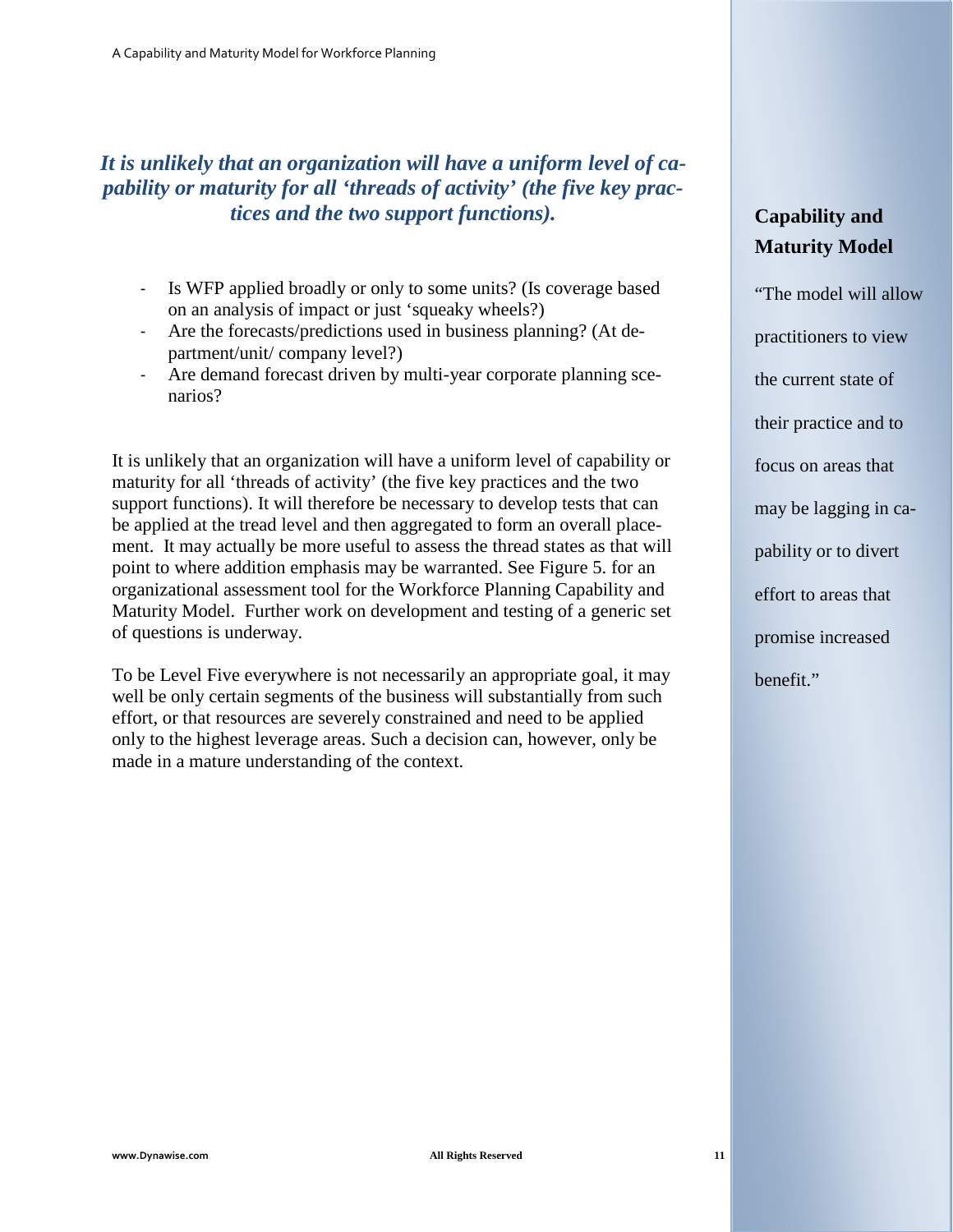## *It is unlikely that an organization will have a uniform level of capability or maturity for all 'threads of activity' (the five key practices and the two support functions).*

- Is WFP applied broadly or only to some units? (Is coverage based on an analysis of impact or just 'squeaky wheels?)
- Are the forecasts/predictions used in business planning? (At department/unit/ company level?)
- Are demand forecast driven by multi-year corporate planning scenarios?

It is unlikely that an organization will have a uniform level of capability or maturity for all 'threads of activity' (the five key practices and the two support functions). It will therefore be necessary to develop tests that can be applied at the tread level and then aggregated to form an overall placement. It may actually be more useful to assess the thread states as that will point to where addition emphasis may be warranted. See Figure 5. for an organizational assessment tool for the Workforce Planning Capability and Maturity Model. Further work on development and testing of a generic set of questions is underway.

To be Level Five everywhere is not necessarily an appropriate goal, it may well be only certain segments of the business will substantially from such effort, or that resources are severely constrained and need to be applied only to the highest leverage areas. Such a decision can, however, only be made in a mature understanding of the context.

## **Capability and Maturity Model**

"The model will allow practitioners to view the current state of their practice and to focus on areas that may be lagging in capability or to divert effort to areas that promise increased benefit."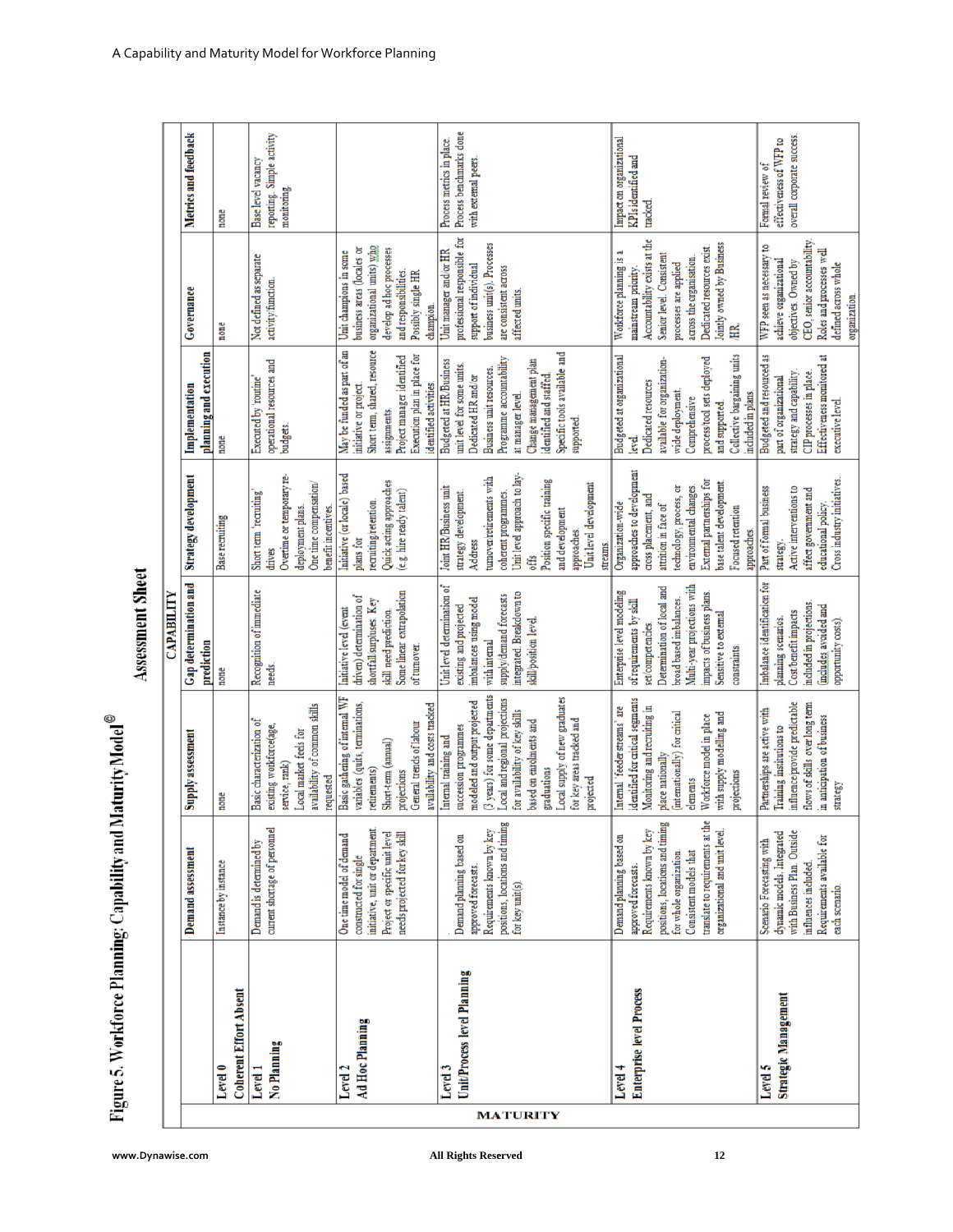| $\alpha$                      |
|-------------------------------|
|                               |
|                               |
|                               |
|                               |
|                               |
|                               |
| ,                             |
|                               |
|                               |
|                               |
|                               |
|                               |
|                               |
|                               |
|                               |
|                               |
| ı                             |
|                               |
| ı                             |
|                               |
|                               |
|                               |
|                               |
|                               |
| ŧ                             |
|                               |
| ţ                             |
|                               |
|                               |
|                               |
| D                             |
|                               |
|                               |
|                               |
|                               |
|                               |
|                               |
| i                             |
|                               |
|                               |
|                               |
|                               |
|                               |
|                               |
|                               |
|                               |
|                               |
|                               |
|                               |
| ٠                             |
|                               |
|                               |
|                               |
| $\overline{\phantom{a}}$<br>D |
| Ė                             |

پ

|                 |                                            |                                                                                                                                                                                                                                           |                                                                                                                                                                                                                                                                                                           | CAPABILITY                                                                                                                                                                                                                                |                                                                                                                                                                                                                                                           |                                                                                                                                                                                                                                                                   |                                                                                                                                                                                                                                       |                                                                              |
|-----------------|--------------------------------------------|-------------------------------------------------------------------------------------------------------------------------------------------------------------------------------------------------------------------------------------------|-----------------------------------------------------------------------------------------------------------------------------------------------------------------------------------------------------------------------------------------------------------------------------------------------------------|-------------------------------------------------------------------------------------------------------------------------------------------------------------------------------------------------------------------------------------------|-----------------------------------------------------------------------------------------------------------------------------------------------------------------------------------------------------------------------------------------------------------|-------------------------------------------------------------------------------------------------------------------------------------------------------------------------------------------------------------------------------------------------------------------|---------------------------------------------------------------------------------------------------------------------------------------------------------------------------------------------------------------------------------------|------------------------------------------------------------------------------|
|                 |                                            | Demand assessment                                                                                                                                                                                                                         | Supply assessment                                                                                                                                                                                                                                                                                         | Gap determination and<br>prediction                                                                                                                                                                                                       | <b>Strategy development</b>                                                                                                                                                                                                                               | planning and execution<br>Implementation                                                                                                                                                                                                                          | Governance                                                                                                                                                                                                                            | Metrics and feedback                                                         |
|                 | <b>Coherent Effort Absent</b><br>Level 0   | Instance by instance                                                                                                                                                                                                                      | none                                                                                                                                                                                                                                                                                                      | none                                                                                                                                                                                                                                      | Base recruiting                                                                                                                                                                                                                                           | none                                                                                                                                                                                                                                                              | none                                                                                                                                                                                                                                  | none                                                                         |
|                 | No Planning<br>Level 1                     | current shortage of personnel<br>Demand is determined by                                                                                                                                                                                  | availability of common skills<br>Basic characterization of<br>existing workforce(age,<br>Local market feels for<br>service, rank)<br>requested                                                                                                                                                            | Recognition of immediate<br>needs.                                                                                                                                                                                                        | Overtime or temporary re-<br>One time compensation/<br>Short term 'recruiting'<br>deployment plans.<br>benefit incentives.<br>drives                                                                                                                      | operational resources and<br>Executed by 'routine'<br>budgets.                                                                                                                                                                                                    | Not defined as separate<br>activity/function.                                                                                                                                                                                         | reporting. Simple activity<br>Base level vacancy<br>monitoring.              |
|                 | Ad Hoc Planning<br>Level 2                 | initiative, unit or department<br>Project or specific unit level<br>needs projected for key skill<br>One time model of demand<br>constructed for single                                                                                   | Basic gathering of internal WF<br>variables (quits, terminations,<br>availability and costs tracked<br>General trends of labour<br>Short-term (annual)<br>retirements)<br>projections                                                                                                                     | Some linear extrapolation<br>driven) determination of<br>shortfall/surpluses. Key<br>Initiative level (event<br>skill need prediction.<br>of turnover.                                                                                    | Initiative (or locale) based<br>Quick acting approaches<br>(e.g. hire ready talent)<br>recruiting/retention.<br>plans for                                                                                                                                 | May be funded as part of an<br>Short term, shared, resource<br>Project manager identified<br>Execution plan in place for<br>identified activities.<br>initiative or project.<br>assignments.                                                                      | organizational units) who<br>business areas (locales or<br>develop ad hoc processes<br>Unit champions in some<br>and responsibilities.<br>Possibly single HR<br>champion.                                                             |                                                                              |
| <b>MATURITY</b> | Unit/Process level Planning<br>Level 3     | positions, locations and timing<br>Requirements known by key<br>Demand planning based on<br>approved forecasts.<br>for key unit(s).                                                                                                       | (3 years) for some departments<br>Local supply of new graduates<br>Local and regional projections<br>modeled and output projected<br>for availability of key skills<br>for key areas tracked and<br>based on enrolments and<br>succession programmes<br>Internal training and<br>graduations<br>projected | Unit level determination of<br>integrated. Breakdown to<br>supply/demand forecasts<br>imbalances using model<br>existing and projected<br>skill/position level.<br>with internal                                                          | Unit level approach to lay-<br>tumover/retirements with<br>Position specific training<br>Unit level development<br>Joint HR/Business unit<br>coherent programmes.<br>strategy development.<br>and development<br>approaches<br>Address<br>streams<br>offs | Specific tools available and<br>Programme accountability<br>Change management plan<br><b>Budgeted at HR/Business</b><br>unit level for some units.<br>Business unit resources<br>Dedicated HR and/or<br>identified and staffed<br>at manager level.<br>supported. | professional responsible for<br>business unit(s). Processes<br>Unit manager and/or HR<br>support of individual<br>are consistent across<br>affected units.                                                                            | Process benchmarks done<br>Process metrics in place.<br>with external peers. |
|                 | <b>Enterprise level Process</b><br>Level 4 | translate to requirements at the<br>positions, locations and timing<br>Requirements known by key<br>organizational and unit level.<br>Demand planning based on<br>Consistent models that<br>for whole organization<br>approved forecasts. | identified for critical segments<br>Monitoring and recruiting in<br>Intemal 'feeder streams' are<br>(internationally) for critical<br>with supply modelling and<br>Workforce model in place<br>place nationally<br>projections<br>elements                                                                | Multi-year projections with<br>Determination of local and<br>Enterprise level modeling<br>impacts of business plans.<br>broad based imbalances.<br>of requirements by skill<br>Sensitive to external<br>set/competencies.<br>constraints. | approaches to development<br>External partnerships for<br>base talent development.<br>technology, process, or<br>environmental changes.<br>cross placement, and<br>Organization-wide<br>attrition in face of<br>Focused retention<br>approaches.          | Collective bargaining units<br>Budgeted at organizational<br>process/tool sets deployed<br>available for organization-<br>Dedicated resources<br>wide deployment.<br>included in plans.<br>Comprehensive<br>and supported.<br>level.                              | Accountability exists at the<br>Jointly owned by Business<br>Dedicated resources exist.<br>Workforce planning is a<br>Senior level. Consistent<br>across the organisation.<br>processes are applied<br>mainstream priority.<br>臣<br>王 | Impact on organizational<br>KPIsidentified and<br>tracked.                   |
|                 | Strategic Management<br>Level 5            | with Business Plan. Outside<br>dynamic models. Integrated<br>Requirements available for<br>Scenario Forecasting with<br>influences included.<br>each scenario.                                                                            | influence/provide predictable<br>flows of skills over long term<br>Partnerships are active with<br>in anticipation of business<br>Training institutions to<br>strategy                                                                                                                                    | imbalance identification for<br>included in projections.<br>(includes avoided and<br>Cost/benefit impacts<br>planning scenarios.<br>opportunity costs).                                                                                   | Cross industry initiatives.<br>Active interventions to<br>Part of formal business<br>affect government and<br>educational policy.<br>strategy                                                                                                             | Budgeted and resourced as<br>Effectiveness monitored at<br>strategy and capability.<br>CIP processes in place.<br>part of organizational<br>executive level.                                                                                                      | CEO, senior accountability<br>₽<br>Roles and processes well<br>WFP seen as necessary<br>achieve organizational<br>objectives. Owned by<br>defined across whole<br>organization.                                                       | overall corporate success.<br>effectiveness of WFP to<br>Formal review of    |